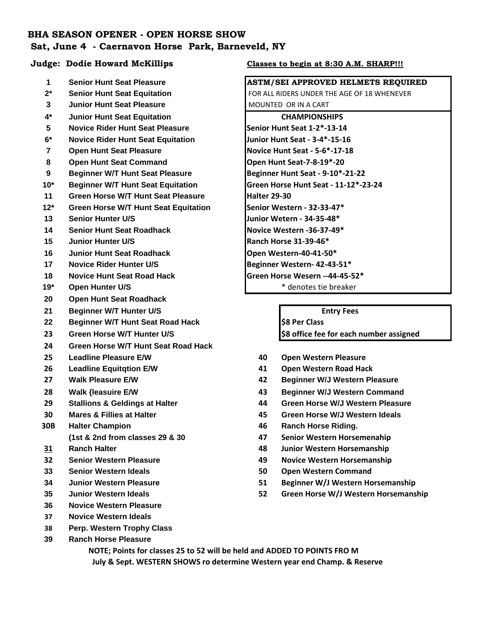# **BHA SEASON OPENER - OPEN HORSE SHOW Sat, June 4 - Caernavon Horse Park, Barneveld, NY**

- 
- 
- **Junior Hunt Seat Pleasure** MOUNTED OR IN A CART
- **4\* Junior Hunt Seat Equitation CHAMPIONSHIPS**
- **Novice Rider Hunt Seat Pleasure Senior Hunt Seat 1-2\*-13-14**
- **6\* Novice Rider Hunt Seat Equitation Junior Hunt Seat 3-4\*-15-16**
- **Open Hunt Seat Pleasure Novice Hunt Seat 5-6\*-17-18**
- 8 Open Hunt Seat Command **Department Control Control 10 and Seat-7-8-19\*-20**
- **Beginner W/T Hunt Seat Pleasure Beginner Hunt Seat 9-10\*-21-22**
- **10\* Beginner W/T Hunt Seat Equitation Green Horse Hunt Seat 11-12\*-23-24**
- **Green Horse W/T Hunt Seat Pleasure Halter 29-30**
- **12\* Green Horse W/T Hunt Seat Equitation Senior Western 32-33-47\***
- **Senior Hunter U/S Junior Wetern 34-35-48\***
- **Senior Hunt Seat Roadhack Novice Western -36-37-49\***
- **Junior Hunter U/S Ranch Horse 31-39-46\***
- **Junior Hunt Seat Roadhack Dem Western-40-41-50\***
- **Novice Rider Hunter U/S Beginner Western- 42-43-51\***
- **Novice Hunt Seat Road Hack Green Horse Wesern --44-45-52\***
- 
- **Open Hunt Seat Roadhack**
- **Beginner W/T Hunter U/S Entry Fees**
- **22 Beginner W/T Hunt Seat Road Hack <b>198 Per Class 198 Per Class**
- 
- **Green Horse W/T Hunt Seat Road Hack**
- 
- 
- 
- 
- 
- 
- -
- 
- 
- 
- 
- 
- **Novice Western Pleasure**
- **Novice Western Ideals**
- **Perp. Western Trophy Class**
- **Ranch Horse Pleasure**

### **Judge: Dodie Howard McKillips Classes to begin at 8:30 A.M. SHARP!!!**

## **Senior Hunt Seat Pleasure ASTM/SEI APPROVED HELMETS REQUIRED**

**2<sup>\*</sup>** Senior Hunt Seat Equitation **FOR ALL RIDERS UNDER THE AGE OF 18 WHENEVER** 

**19\* Open Hunter U/S** \* denotes tie breaker

**Green Horse W/T Hunter U/S \$8 office fee for each number assigned**

- **Leadline Pleasure E/W 40 Open Western Pleasure**
- **Leadline Equitqtion E/W 41 Open Western Road Hack**
- **Walk Pleasure E/W 42 Beginner W/J Western Pleasure**
- **Walk {leasuire E/W 43 Beginner W/J Western Command**
- **Stallions & Geldings at Halter 44 Green Horse W/J Western Pleasure**
- **Mares & Fillies at Halter 45 Green Horse W/J Western Ideals**
- **30B Halter Champion 46 Ranch Horse Riding.**
	- **(1st & 2nd from classes 29 & 30 47 Senior Western Horsemenahip**
- **Ranch Halter 48 Junior Western Horsemanship**
- **Senior Western Pleasure 49 Novice Western Horsemanship**
- **Senior Western Ideals 50 Open Western Command**
- **Junior Western Pleasure 51 Beginner W/J Western Horsemanship**
- **Junior Western Ideals 52 Green Horse W/J Western Horsemanship**

 **NOTE; Points for classes 25 to 52 will be held and ADDED TO POINTS FRO M July & Sept. WESTERN SHOWS ro determine Western year end Champ. & Reserve**